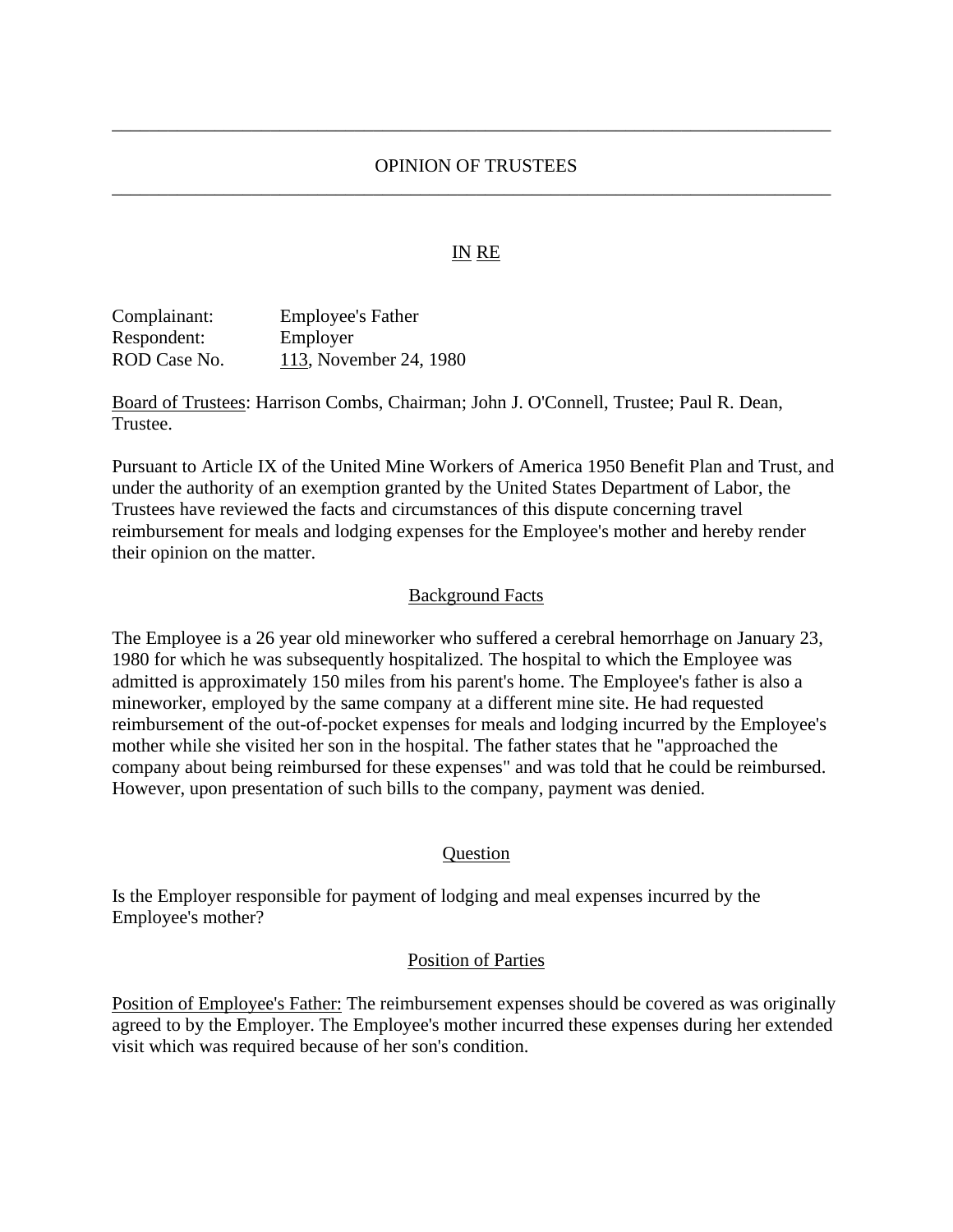# OPINION OF TRUSTEES \_\_\_\_\_\_\_\_\_\_\_\_\_\_\_\_\_\_\_\_\_\_\_\_\_\_\_\_\_\_\_\_\_\_\_\_\_\_\_\_\_\_\_\_\_\_\_\_\_\_\_\_\_\_\_\_\_\_\_\_\_\_\_\_\_\_\_\_\_\_\_\_\_\_\_\_\_

\_\_\_\_\_\_\_\_\_\_\_\_\_\_\_\_\_\_\_\_\_\_\_\_\_\_\_\_\_\_\_\_\_\_\_\_\_\_\_\_\_\_\_\_\_\_\_\_\_\_\_\_\_\_\_\_\_\_\_\_\_\_\_\_\_\_\_\_\_\_\_\_\_\_\_\_\_

## IN RE

| Complainant: | <b>Employee's Father</b> |
|--------------|--------------------------|
| Respondent:  | Employer                 |
| ROD Case No. | 113, November 24, 1980   |

Board of Trustees: Harrison Combs, Chairman; John J. O'Connell, Trustee; Paul R. Dean, Trustee.

Pursuant to Article IX of the United Mine Workers of America 1950 Benefit Plan and Trust, and under the authority of an exemption granted by the United States Department of Labor, the Trustees have reviewed the facts and circumstances of this dispute concerning travel reimbursement for meals and lodging expenses for the Employee's mother and hereby render their opinion on the matter.

### Background Facts

The Employee is a 26 year old mineworker who suffered a cerebral hemorrhage on January 23, 1980 for which he was subsequently hospitalized. The hospital to which the Employee was admitted is approximately 150 miles from his parent's home. The Employee's father is also a mineworker, employed by the same company at a different mine site. He had requested reimbursement of the out-of-pocket expenses for meals and lodging incurred by the Employee's mother while she visited her son in the hospital. The father states that he "approached the company about being reimbursed for these expenses" and was told that he could be reimbursed. However, upon presentation of such bills to the company, payment was denied.

#### **Ouestion**

Is the Employer responsible for payment of lodging and meal expenses incurred by the Employee's mother?

#### Position of Parties

Position of Employee's Father: The reimbursement expenses should be covered as was originally agreed to by the Employer. The Employee's mother incurred these expenses during her extended visit which was required because of her son's condition.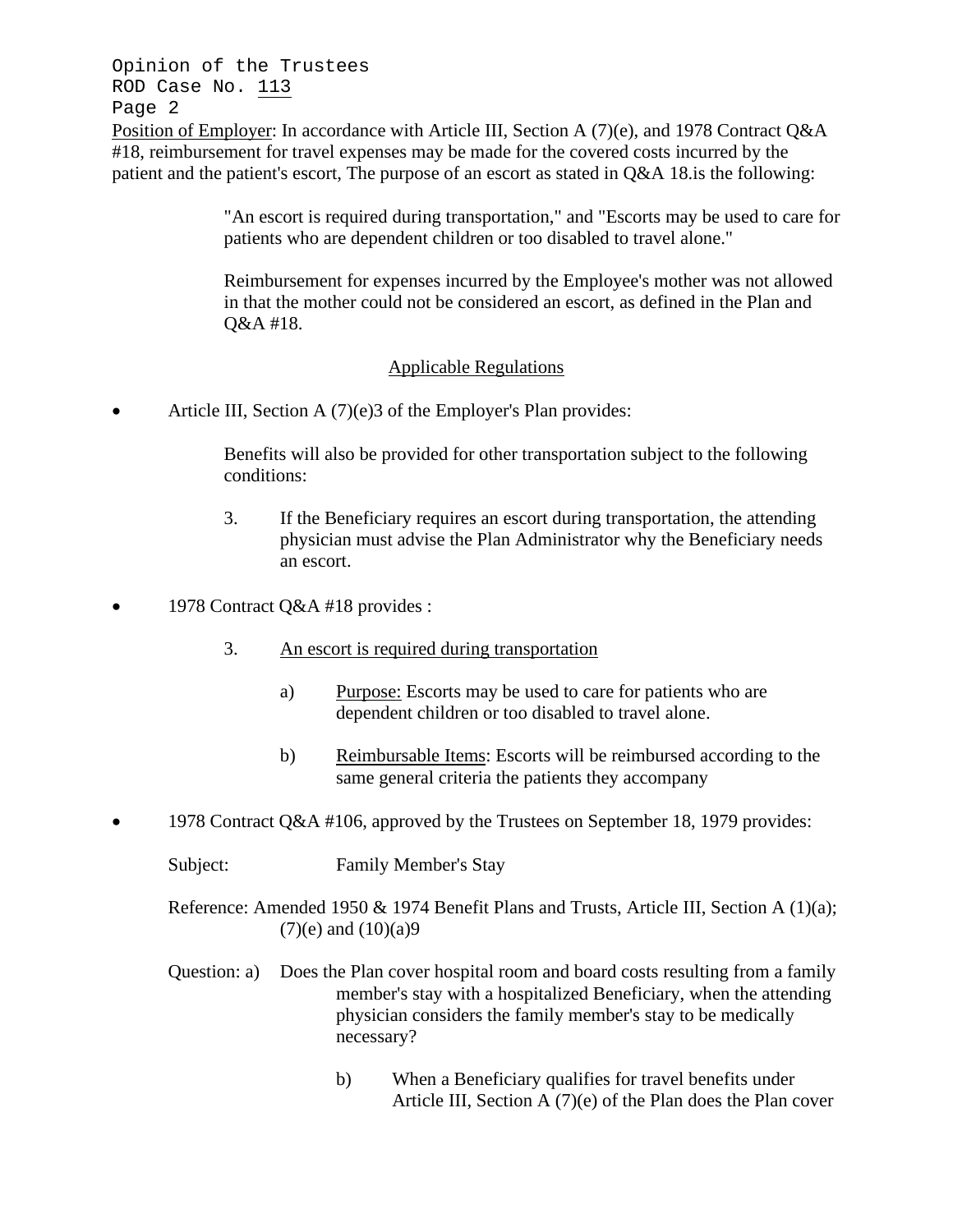Opinion of the Trustees ROD Case No. 113 Page 2

Position of Employer: In accordance with Article III, Section A (7)(e), and 1978 Contract Q&A #18, reimbursement for travel expenses may be made for the covered costs incurred by the patient and the patient's escort, The purpose of an escort as stated in Q&A 18.is the following:

> "An escort is required during transportation," and "Escorts may be used to care for patients who are dependent children or too disabled to travel alone."

Reimbursement for expenses incurred by the Employee's mother was not allowed in that the mother could not be considered an escort, as defined in the Plan and Q&A #18.

# Applicable Regulations

• Article III, Section A (7)(e)3 of the Employer's Plan provides:

Benefits will also be provided for other transportation subject to the following conditions:

- 3. If the Beneficiary requires an escort during transportation, the attending physician must advise the Plan Administrator why the Beneficiary needs an escort.
- 1978 Contract Q&A #18 provides :
	- 3. An escort is required during transportation
		- a) Purpose: Escorts may be used to care for patients who are dependent children or too disabled to travel alone.
		- b) Reimbursable Items: Escorts will be reimbursed according to the same general criteria the patients they accompany
- 1978 Contract Q&A #106, approved by the Trustees on September 18, 1979 provides:

Subject: Family Member's Stay

Reference: Amended 1950 & 1974 Benefit Plans and Trusts, Article III, Section A (1)(a);  $(7)(e)$  and  $(10)(a)9$ 

- Question: a) Does the Plan cover hospital room and board costs resulting from a family member's stay with a hospitalized Beneficiary, when the attending physician considers the family member's stay to be medically necessary?
	- b) When a Beneficiary qualifies for travel benefits under Article III, Section A (7)(e) of the Plan does the Plan cover